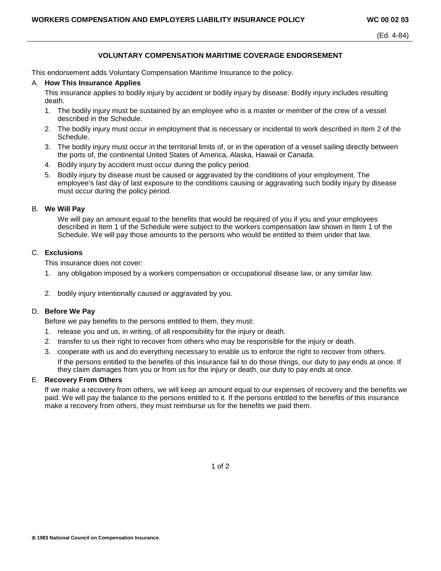# **VOLUNTARY COMPENSATION MARITIME COVERAGE ENDORSEMENT**

This endorsement adds Voluntary Compensation Maritime Insurance to the policy.

### A. **How This Insurance Applies**

This insurance applies to bodily injury by accident or bodily injury by disease. Bodily injury includes resulting death.

- 1. The bodily injury must be sustained by an employee who is a master or member of the crew of a vessel described in the Schedule.
- 2. The bodily injury must occur in employment that is necessary or incidental to work described in Item 2 of the Schedule.
- 3. The bodily injury must occur in the territorial limits of, or in the operation of a vessel sailing directly between the ports of, the continental United States of America, Alaska, Hawaii or Canada.
- 4. Bodily injury by accident must occur during the policy period.
- 5. Bodily injury by disease must be caused or aggravated by the conditions of your employment. The employee's last day of last exposure to the conditions causing or aggravating such bodily injury by disease must occur during the policy period.

## B. **We Will Pay**

We will pay an amount equal to the benefits that would be required of you if you and your employees described in Item 1 of the Schedule were subject to the workers compensation law shown in Item 1 of the Schedule. We will pay those amounts to the persons who would be entitled to them under that law.

## C. **Exclusions**

This insurance does not cover:

- 1. any obligation imposed by a workers compensation or occupational disease law, or any similar law.
- 2. bodily injury intentionally caused or aggravated by you.

## D. **Before We Pay**

Before we pay benefits to the persons entitled to them, they must:

- 1. release you and us, in writing, of all responsibility for the injury or death.
- 2. transfer to us their right to recover from others who may be responsible for the injury or death.
- 3. cooperate with us and do everything necessary to enable us to enforce the right to recover from others.

If the persons entitled to the benefits of this insurance fail to do those things, our duty to pay ends at once. If they claim damages from you or from us for the injury or death, our duty to pay ends at once.

# E. **Recovery From Others**

If we make a recovery from others, we will keep an amount equal to our expenses of recovery and the benefits we paid. We will pay the balance to the persons entitled to it. If the persons entitled to the benefits *of* this insurance make a recovery from others, they must reimburse us for the benefits we paid them.

1 of 2